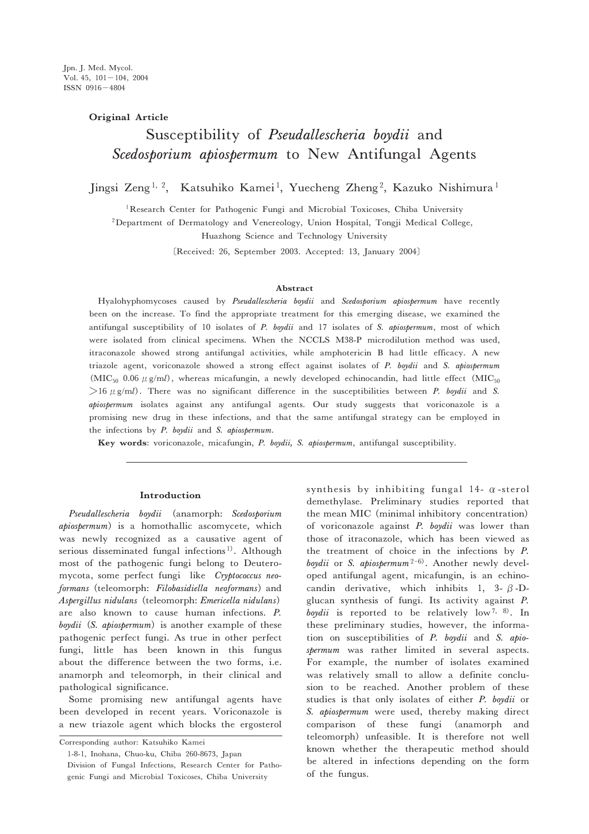# **Original Article**

# Susceptibility of Pseudallescheria boydii and Scedosporium apiospermum to New Antifungal Agents

Jingsi Zeng<sup>1, 2</sup>, Katsuhiko Kamei<sup>1</sup>, Yuecheng Zheng<sup>2</sup>, Kazuko Nishimura<sup>1</sup>

<sup>1</sup> Research Center for Pathogenic Fungi and Microbial Toxicoses, Chiba University

<sup>2</sup>Department of Dermatology and Venereology, Union Hospital, Tongji Medical College,

Huazhong Science and Technology University

〔Received: 26, September 2003. Accepted: 13, January 2004〕

#### **Abstract**

Hyalohyphomycoses caused by Pseudallescheria boydii and Scedosporium apiospermum have recently been on the increase. To find the appropriate treatment for this emerging disease, we examined the antifungal susceptibility of 10 isolates of P. boydii and 17 isolates of S. apiospermum, most of which were isolated from clinical specimens. When the NCCLS M38-P microdilution method was used, itraconazole showed strong antifungal activities, while amphotericin B had little efficacy. A new triazole agent, voriconazole showed a strong effect against isolates of P. boydii and S. apiospermum (MIC<sub>50</sub> 0.06  $\mu$  g/ml), whereas micafungin, a newly developed echinocandin, had little effect (MIC<sub>50</sub>)  $>16 \mu$  g/ml). There was no significant difference in the susceptibilities between P. boydii and S. apiospermum isolates against any antifungal agents. Our study suggests that voriconazole is a promising new drug in these infections, and that the same antifungal strategy can be employed in the infections by P. boydii and S. apiospermum.

**Key words**: voriconazole, micafungin, P. boydii, S. apiospermum, antifungal susceptibility.

## **Introduction**

Pseudallescheria boydii (anamorph: Scedosporium apiospermum) is a homothallic ascomycete, which was newly recognized as a causative agent of serious disseminated fungal infections<sup>1)</sup>. Although most of the pathogenic fungi belong to Deuteromycota, some perfect fungi like Cryptococcus neoformans (teleomorph: Filobasidiella neoformans) and Aspergillus nidulans (teleomorph: Emericella nidulans) are also known to cause human infections. P. boydii  $(S.$  apiospermum) is another example of these pathogenic perfect fungi. As true in other perfect fungi, little has been known in this fungus about the difference between the two forms, i.e. anamorph and teleomorph, in their clinical and pathological significance.

Some promising new antifungal agents have been developed in recent years. Voriconazole is a new triazole agent which blocks the ergosterol

Corresponding author: Katsuhiko Kamei

1-8-1, Inohana, Chuo-ku, Chiba 260-8673, Japan Division of Fungal Infections, Research Center for Pathogenic Fungi and Microbial Toxicoses, Chiba University

synthesis by inhibiting fungal 14- $\alpha$ -sterol demethylase. Preliminary studies reported that the mean MIC (minimal inhibitory concentration) of voriconazole against P. boydii was lower than those of itraconazole, which has been viewed as the treatment of choice in the infections by P. boydii or S. apiospermum<sup>2-6)</sup>. Another newly developed antifungal agent, micafungin, is an echinocandin derivative, which inhibits 1, 3-  $\beta$ -Dglucan synthesis of fungi. Its activity against P. boydii is reported to be relatively low<sup>7, 8)</sup>. In these preliminary studies, however, the information on susceptibilities of P. boydii and S. apiospermum was rather limited in several aspects. For example, the number of isolates examined was relatively small to allow a definite conclusion to be reached. Another problem of these studies is that only isolates of either P. boydii or S. apiospermum were used, thereby making direct comparison of these fungi (anamorph and teleomorph)unfeasible. It is therefore not well known whether the therapeutic method should be altered in infections depending on the form of the fungus.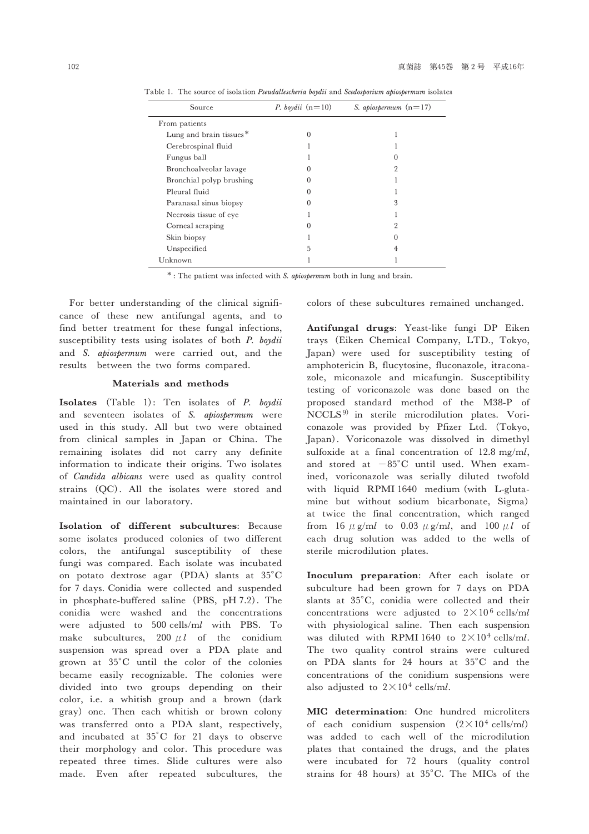| Source                   | P. boydii $(n=10)$ | S. apiospermum $(n=17)$ |
|--------------------------|--------------------|-------------------------|
| From patients            |                    |                         |
| Lung and brain tissues*  | $\Omega$           |                         |
| Cerebrospinal fluid      |                    |                         |
| Fungus ball              |                    |                         |
| Bronchoalveolar lavage   |                    | 9                       |
| Bronchial polyp brushing | $\mathbf{0}$       |                         |
| Pleural fluid            |                    |                         |
| Paranasal sinus biopsy   | $\mathbf{\Omega}$  | 3                       |
| Necrosis tissue of eye   |                    |                         |
| Corneal scraping         |                    | 9                       |
| Skin biopsy              |                    |                         |
| Unspecified              | 5                  | 4                       |
| Unknown                  |                    |                         |

Table 1. The source of isolation Pseudallescheria boydii and Scedosporium apiospermum isolates

\* : The patient was infected with S. apiospermum both in lung and brain.

For better understanding of the clinical significance of these new antifungal agents, and to find better treatment for these fungal infections, susceptibility tests using isolates of both P. boydii and S. apiospermum were carried out, and the results between the two forms compared.

# **Materials and methods**

**Isolates** (Table 1): Ten isolates of P. boydii and seventeen isolates of S. apiospermum were used in this study. All but two were obtained from clinical samples in Japan or China. The remaining isolates did not carry any definite information to indicate their origins. Two isolates of Candida albicans were used as quality control strains (QC). All the isolates were stored and maintained in our laboratory.

**Isolation of different subcultures**: Because some isolates produced colonies of two different colors, the antifungal susceptibility of these fungi was compared. Each isolate was incubated on potato dextrose agar (PDA) slants at  $35^{\circ}$ C for 7 days. Conidia were collected and suspended in phosphate-buffered saline (PBS, pH 7.2). The conidia were washed and the concentrations were adjusted to 500 cells/ml with PBS. To make subcultures, 200  $\mu l$  of the conidium suspension was spread over a PDA plate and grown at 35°C until the color of the colonies became easily recognizable. The colonies were divided into two groups depending on their color, i.e. a whitish group and a brown (dark gray) one. Then each whitish or brown colony was transferred onto a PDA slant, respectively, and incubated at 35゜C for 21 days to observe their morphology and color. This procedure was repeated three times. Slide cultures were also made. Even after repeated subcultures, the colors of these subcultures remained unchanged.

**Antifungal drugs**: Yeast-like fungi DP Eiken trays (Eiken Chemical Company, LTD., Tokyo, Japan)were used for susceptibility testing of amphotericin B, flucytosine, fluconazole, itraconazole, miconazole and micafungin. Susceptibility testing of voriconazole was done based on the proposed standard method of the M38-P of NCCLS 9) in sterile microdilution plates. Voriconazole was provided by Pfizer Ltd. (Tokyo, Japan). Voriconazole was dissolved in dimethyl sulfoxide at a final concentration of 12.8 mg/ml, and stored at  $-85^{\circ}$ C until used. When examined, voriconazole was serially diluted twofold with liquid RPMI 1640 medium (with L-glutamine but without sodium bicarbonate, Sigma) at twice the final concentration, which ranged from 16  $\mu$  g/ml to 0.03  $\mu$  g/ml, and 100  $\mu$ l of each drug solution was added to the wells of sterile microdilution plates.

**Inoculum preparation**: After each isolate or subculture had been grown for 7 days on PDA slants at 35°C, conidia were collected and their concentrations were adjusted to  $2 \times 10^6$  cells/ml with physiological saline. Then each suspension was diluted with RPMI 1640 to  $2 \times 10^4$  cells/ml. The two quality control strains were cultured on PDA slants for 24 hours at 35°C and the concentrations of the conidium suspensions were also adjusted to  $2 \times 10^4$  cells/ml.

**MIC determination**: One hundred microliters of each conidium suspension  $(2 \times 10^4 \text{ cells/ml})$ was added to each well of the microdilution plates that contained the drugs, and the plates were incubated for 72 hours (quality control strains for 48 hours) at 35°C. The MICs of the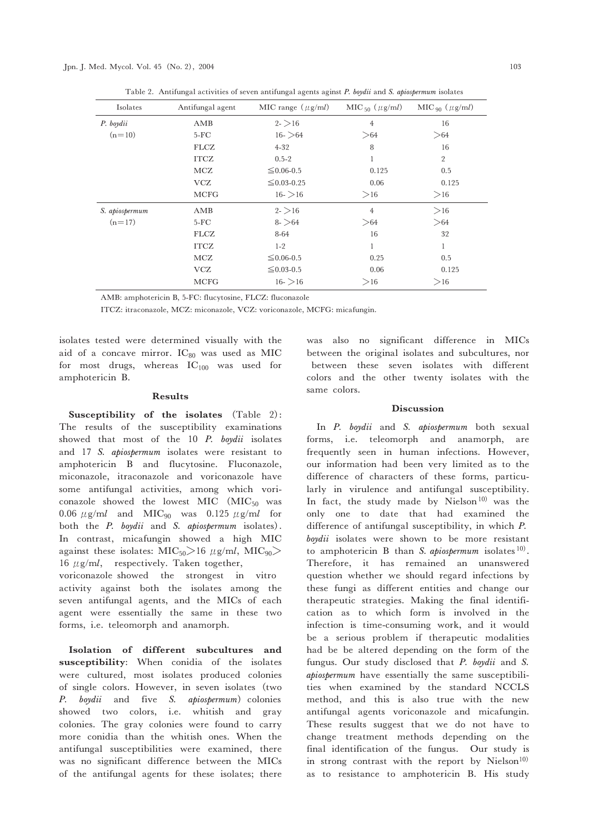Jpn. J. Med. Mycol. Vol. 45 (No. 2), 2004 103

Table 2. Antifungal activities of seven antifungal agents aginst P. boydii and S. apiospermum isolates

| Isolates       | Antifungal agent | MIC range $(\mu$ g/ml) | MIC $_{50}$ ( $\mu$ g/ml) | $MIC_{90} (\mu g/ml)$ |
|----------------|------------------|------------------------|---------------------------|-----------------------|
| P. boydii      | AMB              | $2 - > 16$             | $\overline{4}$            | 16                    |
| $(n=10)$       | $5-FC$           | $16 >$ 64              | >64                       | >64                   |
|                | <b>FLCZ</b>      | $4 - 32$               | 8                         | 16                    |
|                | <b>ITCZ</b>      | $0.5 - 2$              | 1                         | $\overline{2}$        |
|                | MCZ              | $≤ 0.06 - 0.5$         | 0.125                     | 0.5                   |
|                | <b>VCZ</b>       | $\leq 0.03 - 0.25$     | 0.06                      | 0.125                 |
|                | <b>MCFG</b>      | $16-$ >16              | >16                       | >16                   |
| S. apiospermum | AMB              | $2 - > 16$             | $\overline{4}$            | >16                   |
| $(n=17)$       | $5-FC$           | $8 - 64$               | >64                       | >64                   |
|                | <b>FLCZ</b>      | 8-64                   | 16                        | 32                    |
|                | <b>ITCZ</b>      | $1 - 2$                | 1                         | 1                     |
|                | MCZ              | $≤ 0.06 - 0.5$         | 0.25                      | 0.5                   |
|                | <b>VCZ</b>       | $\leq 0.03 - 0.5$      | 0.06                      | 0.125                 |
|                | <b>MCFG</b>      | $16-$ >16              | >16                       | >16                   |

AMB: amphotericin B, 5-FC: flucytosine, FLCZ: fluconazole

ITCZ: itraconazole, MCZ: miconazole, VCZ: voriconazole, MCFG: micafungin.

isolates tested were determined visually with the aid of a concave mirror.  $IC_{80}$  was used as MIC for most drugs, whereas  $IC_{100}$  was used for amphotericin B.

## **Results**

**Susceptibility of the isolates** (Table 2): The results of the susceptibility examinations showed that most of the 10 P. boydii isolates and 17 S. apiospermum isolates were resistant to amphotericin B and flucytosine. Fluconazole, miconazole, itraconazole and voriconazole have some antifungal activities, among which voriconazole showed the lowest MIC  $(MIC_{50}$  was 0.06  $\mu$ g/ml and MIC<sub>90</sub> was 0.125  $\mu$ g/ml for both the *P. boydii* and *S. apiospermum* isolates). In contrast, micafungin showed a high MIC against these isolates:  $\text{MIC}_{50}$  > 16  $\mu$ g/ml,  $\text{MIC}_{90}$  > 16  $\mu$ g/ml, respectively. Taken together,

voriconazole showed the strongest in vitro activity against both the isolates among the seven antifungal agents, and the MICs of each agent were essentially the same in these two forms, i.e. teleomorph and anamorph.

**Isolation of different subcultures and susceptibility**: When conidia of the isolates were cultured, most isolates produced colonies of single colors. However, in seven isolates (two P. boydii and five S. apiospermum) colonies showed two colors, i.e. whitish and gray colonies. The gray colonies were found to carry more conidia than the whitish ones. When the antifungal susceptibilities were examined, there was no significant difference between the MICs of the antifungal agents for these isolates; there was also no significant difference in MICs between the original isolates and subcultures, nor between these seven isolates with different colors and the other twenty isolates with the same colors.

## **Discussion**

In P. boydii and S. apiospermum both sexual forms, i.e. teleomorph and anamorph, are frequently seen in human infections. However, our information had been very limited as to the difference of characters of these forms, particularly in virulence and antifungal susceptibility. In fact, the study made by Nielson<sup>10)</sup> was the only one to date that had examined the difference of antifungal susceptibility, in which P. boydii isolates were shown to be more resistant to amphotericin B than S. apiospermum isolates  $10$ . Therefore, it has remained an unanswered question whether we should regard infections by these fungi as different entities and change our therapeutic strategies. Making the final identification as to which form is involved in the infection is time-consuming work, and it would be a serious problem if therapeutic modalities had be be altered depending on the form of the fungus. Our study disclosed that P. boydii and S. apiospermum have essentially the same susceptibilities when examined by the standard NCCLS method, and this is also true with the new antifungal agents voriconazole and micafungin. These results suggest that we do not have to change treatment methods depending on the final identification of the fungus. Our study is in strong contrast with the report by Nielson<sup>10)</sup> as to resistance to amphotericin B. His study